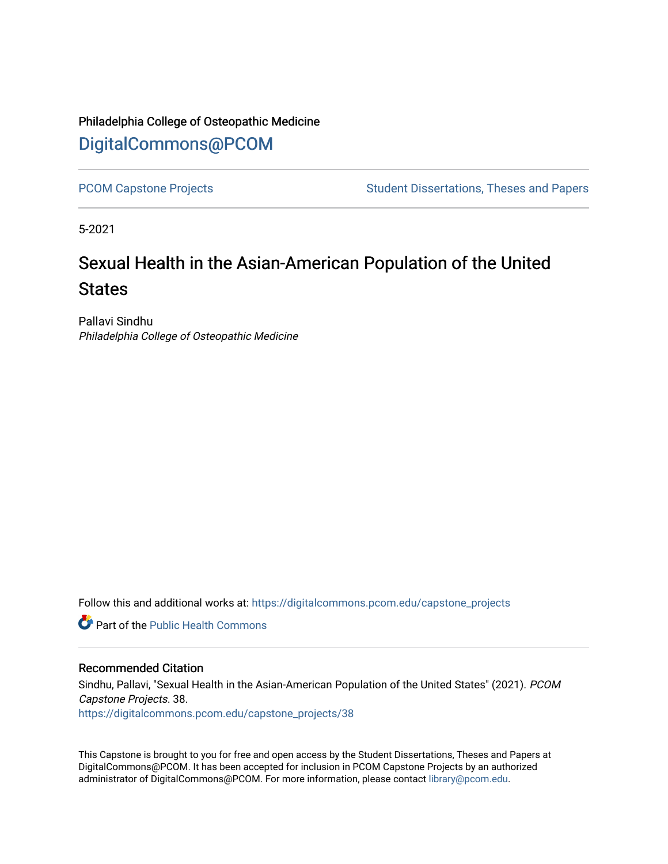# Philadelphia College of Osteopathic Medicine [DigitalCommons@PCOM](https://digitalcommons.pcom.edu/)

[PCOM Capstone Projects](https://digitalcommons.pcom.edu/capstone_projects) **Student Dissertations, Theses and Papers** Student Dissertations, Theses and Papers

5-2021

# Sexual Health in the Asian-American Population of the United **States**

Pallavi Sindhu Philadelphia College of Osteopathic Medicine

Follow this and additional works at: [https://digitalcommons.pcom.edu/capstone\\_projects](https://digitalcommons.pcom.edu/capstone_projects?utm_source=digitalcommons.pcom.edu%2Fcapstone_projects%2F38&utm_medium=PDF&utm_campaign=PDFCoverPages)

**C** Part of the Public Health Commons

#### Recommended Citation

Sindhu, Pallavi, "Sexual Health in the Asian-American Population of the United States" (2021). PCOM Capstone Projects. 38. [https://digitalcommons.pcom.edu/capstone\\_projects/38](https://digitalcommons.pcom.edu/capstone_projects/38?utm_source=digitalcommons.pcom.edu%2Fcapstone_projects%2F38&utm_medium=PDF&utm_campaign=PDFCoverPages) 

This Capstone is brought to you for free and open access by the Student Dissertations, Theses and Papers at DigitalCommons@PCOM. It has been accepted for inclusion in PCOM Capstone Projects by an authorized administrator of DigitalCommons@PCOM. For more information, please contact [library@pcom.edu.](mailto:library@pcom.edu)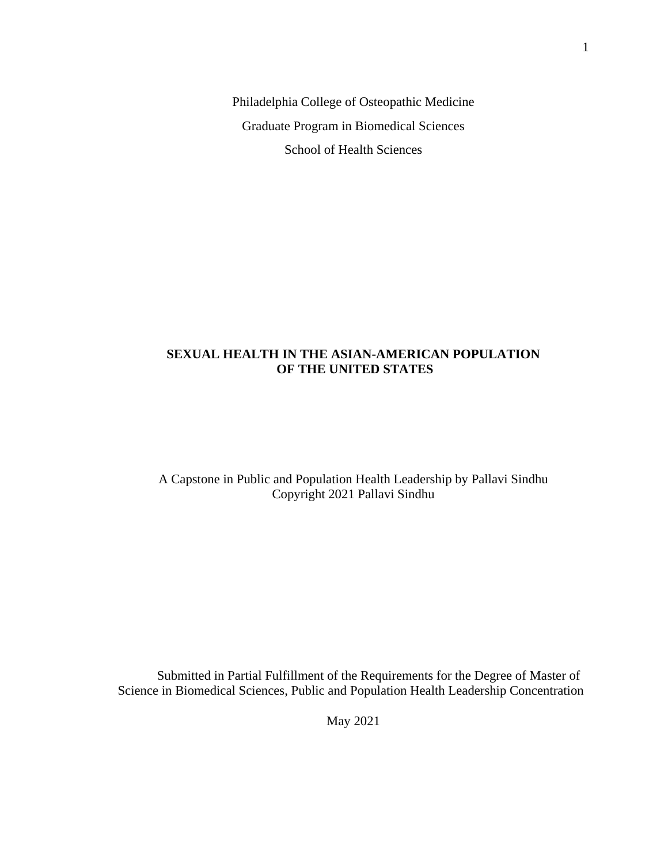Philadelphia College of Osteopathic Medicine Graduate Program in Biomedical Sciences School of Health Sciences

### **SEXUAL HEALTH IN THE ASIAN-AMERICAN POPULATION OF THE UNITED STATES**

### A Capstone in Public and Population Health Leadership by Pallavi Sindhu Copyright 2021 Pallavi Sindhu

Submitted in Partial Fulfillment of the Requirements for the Degree of Master of Science in Biomedical Sciences, Public and Population Health Leadership Concentration

May 2021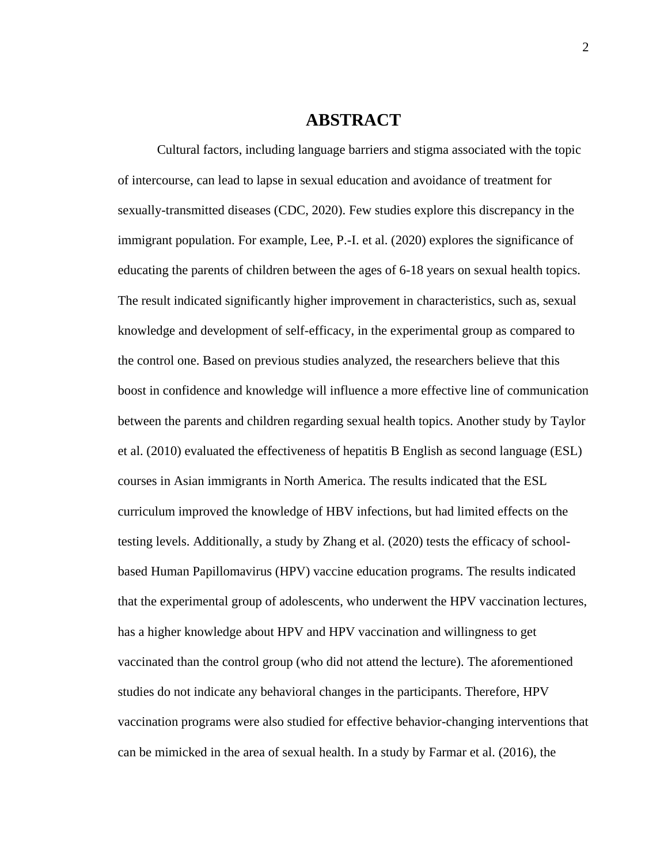### **ABSTRACT**

Cultural factors, including language barriers and stigma associated with the topic of intercourse, can lead to lapse in sexual education and avoidance of treatment for sexually-transmitted diseases (CDC, 2020). Few studies explore this discrepancy in the immigrant population. For example, Lee, P.-I. et al. (2020) explores the significance of educating the parents of children between the ages of 6-18 years on sexual health topics. The result indicated significantly higher improvement in characteristics, such as, sexual knowledge and development of self-efficacy, in the experimental group as compared to the control one. Based on previous studies analyzed, the researchers believe that this boost in confidence and knowledge will influence a more effective line of communication between the parents and children regarding sexual health topics. Another study by Taylor et al. (2010) evaluated the effectiveness of hepatitis B English as second language (ESL) courses in Asian immigrants in North America. The results indicated that the ESL curriculum improved the knowledge of HBV infections, but had limited effects on the testing levels. Additionally, a study by Zhang et al. (2020) tests the efficacy of schoolbased Human Papillomavirus (HPV) vaccine education programs. The results indicated that the experimental group of adolescents, who underwent the HPV vaccination lectures, has a higher knowledge about HPV and HPV vaccination and willingness to get vaccinated than the control group (who did not attend the lecture). The aforementioned studies do not indicate any behavioral changes in the participants. Therefore, HPV vaccination programs were also studied for effective behavior-changing interventions that can be mimicked in the area of sexual health. In a study by Farmar et al. (2016), the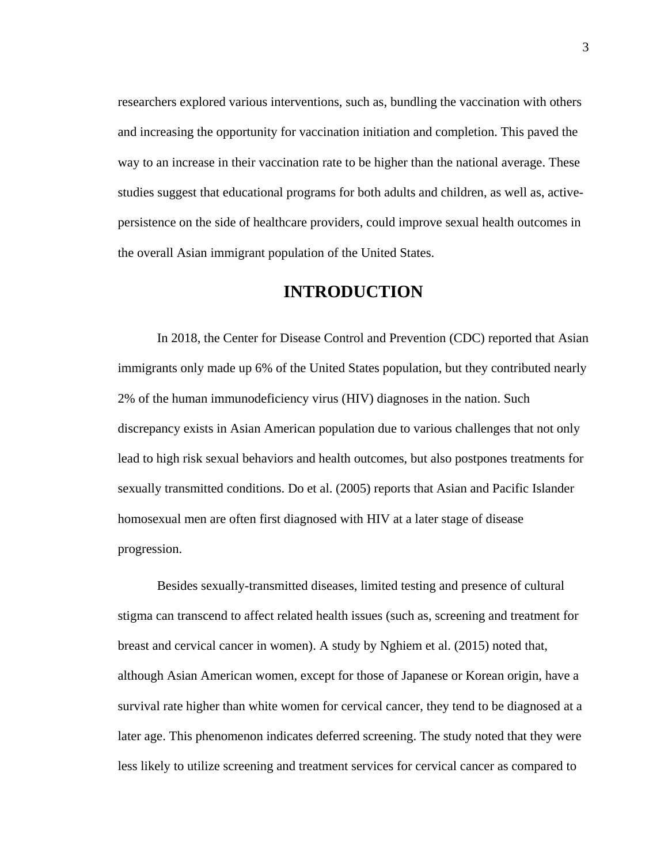researchers explored various interventions, such as, bundling the vaccination with others and increasing the opportunity for vaccination initiation and completion. This paved the way to an increase in their vaccination rate to be higher than the national average. These studies suggest that educational programs for both adults and children, as well as, activepersistence on the side of healthcare providers, could improve sexual health outcomes in the overall Asian immigrant population of the United States.

# **INTRODUCTION**

In 2018, the Center for Disease Control and Prevention (CDC) reported that Asian immigrants only made up 6% of the United States population, but they contributed nearly 2% of the human immunodeficiency virus (HIV) diagnoses in the nation. Such discrepancy exists in Asian American population due to various challenges that not only lead to high risk sexual behaviors and health outcomes, but also postpones treatments for sexually transmitted conditions. Do et al. (2005) reports that Asian and Pacific Islander homosexual men are often first diagnosed with HIV at a later stage of disease progression.

Besides sexually-transmitted diseases, limited testing and presence of cultural stigma can transcend to affect related health issues (such as, screening and treatment for breast and cervical cancer in women). A study by Nghiem et al. (2015) noted that, although Asian American women, except for those of Japanese or Korean origin, have a survival rate higher than white women for cervical cancer, they tend to be diagnosed at a later age. This phenomenon indicates deferred screening. The study noted that they were less likely to utilize screening and treatment services for cervical cancer as compared to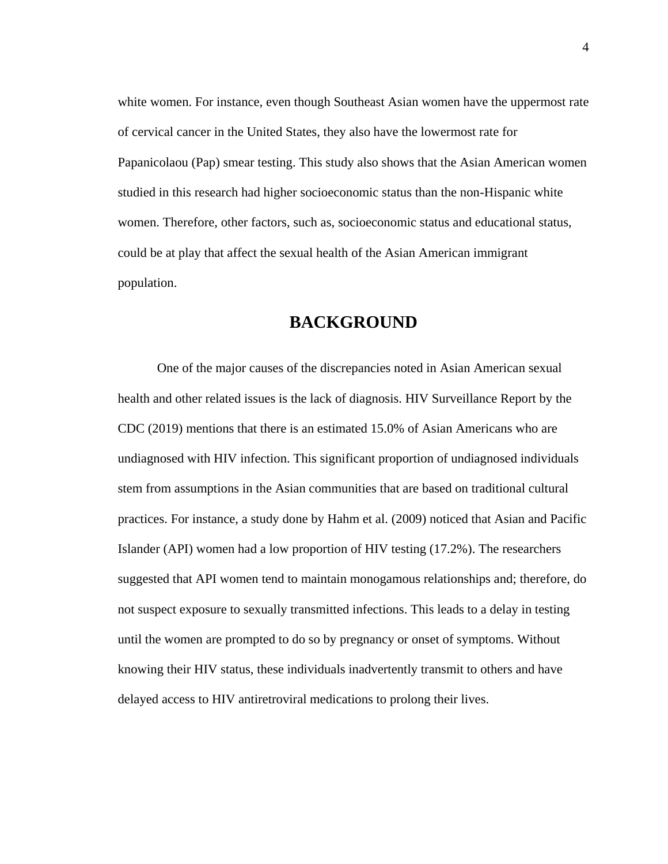white women. For instance, even though Southeast Asian women have the uppermost rate of cervical cancer in the United States, they also have the lowermost rate for Papanicolaou (Pap) smear testing. This study also shows that the Asian American women studied in this research had higher socioeconomic status than the non-Hispanic white women. Therefore, other factors, such as, socioeconomic status and educational status, could be at play that affect the sexual health of the Asian American immigrant population.

# **BACKGROUND**

One of the major causes of the discrepancies noted in Asian American sexual health and other related issues is the lack of diagnosis. HIV Surveillance Report by the CDC (2019) mentions that there is an estimated 15.0% of Asian Americans who are undiagnosed with HIV infection. This significant proportion of undiagnosed individuals stem from assumptions in the Asian communities that are based on traditional cultural practices. For instance, a study done by Hahm et al. (2009) noticed that Asian and Pacific Islander (API) women had a low proportion of HIV testing (17.2%). The researchers suggested that API women tend to maintain monogamous relationships and; therefore, do not suspect exposure to sexually transmitted infections. This leads to a delay in testing until the women are prompted to do so by pregnancy or onset of symptoms. Without knowing their HIV status, these individuals inadvertently transmit to others and have delayed access to HIV antiretroviral medications to prolong their lives.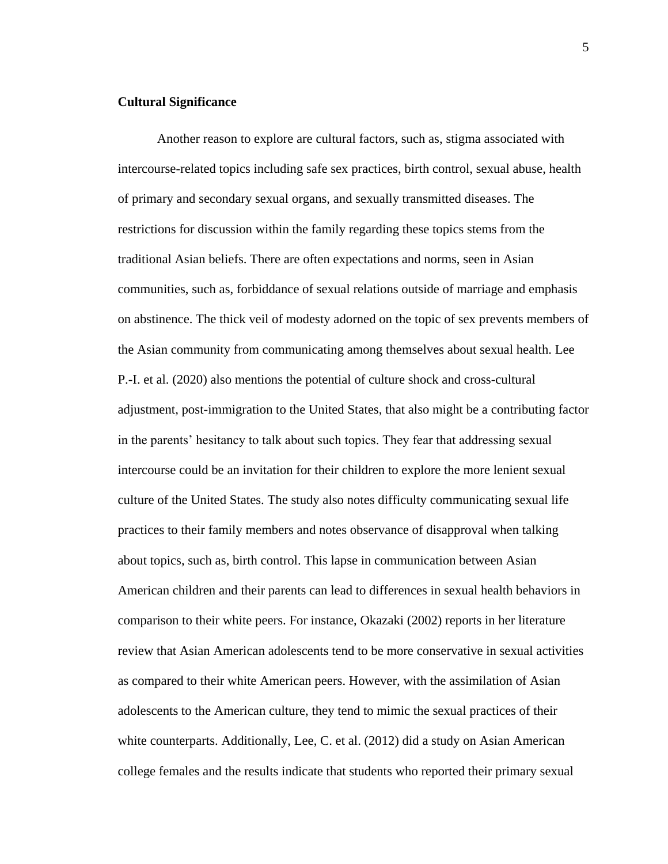#### **Cultural Significance**

Another reason to explore are cultural factors, such as, stigma associated with intercourse-related topics including safe sex practices, birth control, sexual abuse, health of primary and secondary sexual organs, and sexually transmitted diseases. The restrictions for discussion within the family regarding these topics stems from the traditional Asian beliefs. There are often expectations and norms, seen in Asian communities, such as, forbiddance of sexual relations outside of marriage and emphasis on abstinence. The thick veil of modesty adorned on the topic of sex prevents members of the Asian community from communicating among themselves about sexual health. Lee P.-I. et al. (2020) also mentions the potential of culture shock and cross-cultural adjustment, post-immigration to the United States, that also might be a contributing factor in the parents' hesitancy to talk about such topics. They fear that addressing sexual intercourse could be an invitation for their children to explore the more lenient sexual culture of the United States. The study also notes difficulty communicating sexual life practices to their family members and notes observance of disapproval when talking about topics, such as, birth control. This lapse in communication between Asian American children and their parents can lead to differences in sexual health behaviors in comparison to their white peers. For instance, Okazaki (2002) reports in her literature review that Asian American adolescents tend to be more conservative in sexual activities as compared to their white American peers. However, with the assimilation of Asian adolescents to the American culture, they tend to mimic the sexual practices of their white counterparts. Additionally, Lee, C. et al. (2012) did a study on Asian American college females and the results indicate that students who reported their primary sexual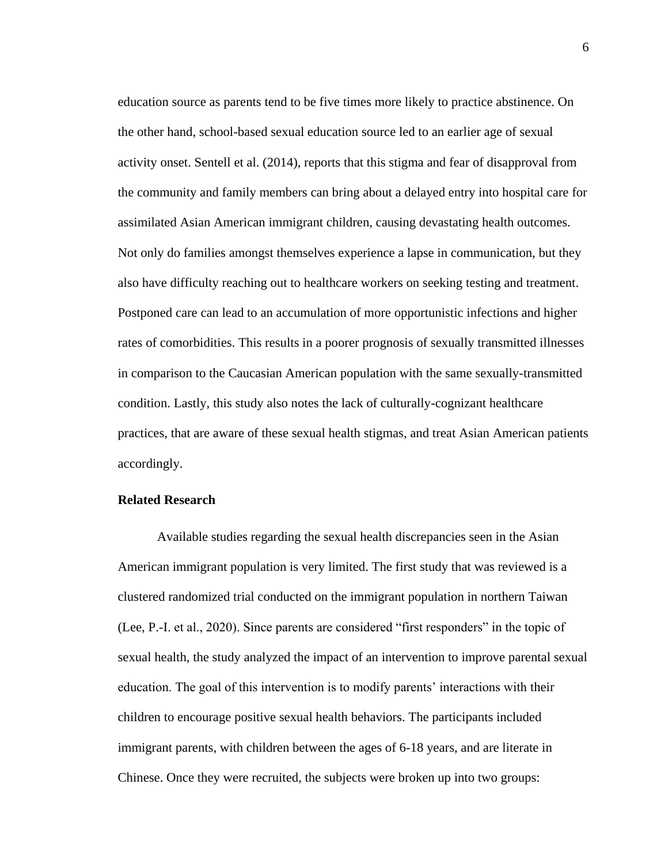education source as parents tend to be five times more likely to practice abstinence. On the other hand, school-based sexual education source led to an earlier age of sexual activity onset. Sentell et al. (2014), reports that this stigma and fear of disapproval from the community and family members can bring about a delayed entry into hospital care for assimilated Asian American immigrant children, causing devastating health outcomes. Not only do families amongst themselves experience a lapse in communication, but they also have difficulty reaching out to healthcare workers on seeking testing and treatment. Postponed care can lead to an accumulation of more opportunistic infections and higher rates of comorbidities. This results in a poorer prognosis of sexually transmitted illnesses in comparison to the Caucasian American population with the same sexually-transmitted condition. Lastly, this study also notes the lack of culturally-cognizant healthcare practices, that are aware of these sexual health stigmas, and treat Asian American patients accordingly.

#### **Related Research**

Available studies regarding the sexual health discrepancies seen in the Asian American immigrant population is very limited. The first study that was reviewed is a clustered randomized trial conducted on the immigrant population in northern Taiwan (Lee, P.-I. et al., 2020). Since parents are considered "first responders" in the topic of sexual health, the study analyzed the impact of an intervention to improve parental sexual education. The goal of this intervention is to modify parents' interactions with their children to encourage positive sexual health behaviors. The participants included immigrant parents, with children between the ages of 6-18 years, and are literate in Chinese. Once they were recruited, the subjects were broken up into two groups: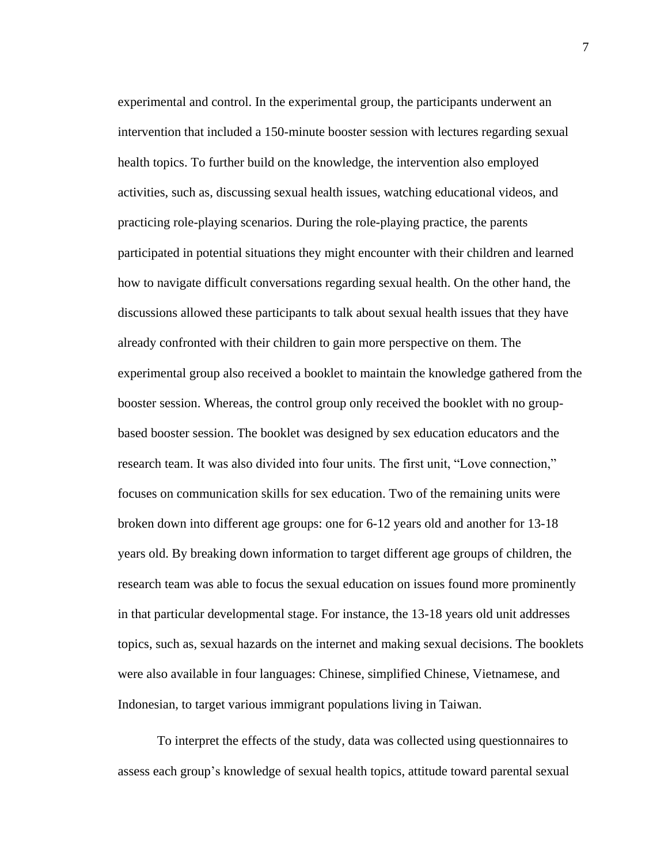experimental and control. In the experimental group, the participants underwent an intervention that included a 150-minute booster session with lectures regarding sexual health topics. To further build on the knowledge, the intervention also employed activities, such as, discussing sexual health issues, watching educational videos, and practicing role-playing scenarios. During the role-playing practice, the parents participated in potential situations they might encounter with their children and learned how to navigate difficult conversations regarding sexual health. On the other hand, the discussions allowed these participants to talk about sexual health issues that they have already confronted with their children to gain more perspective on them. The experimental group also received a booklet to maintain the knowledge gathered from the booster session. Whereas, the control group only received the booklet with no groupbased booster session. The booklet was designed by sex education educators and the research team. It was also divided into four units. The first unit, "Love connection," focuses on communication skills for sex education. Two of the remaining units were broken down into different age groups: one for 6-12 years old and another for 13-18 years old. By breaking down information to target different age groups of children, the research team was able to focus the sexual education on issues found more prominently in that particular developmental stage. For instance, the 13-18 years old unit addresses topics, such as, sexual hazards on the internet and making sexual decisions. The booklets were also available in four languages: Chinese, simplified Chinese, Vietnamese, and Indonesian, to target various immigrant populations living in Taiwan.

To interpret the effects of the study, data was collected using questionnaires to assess each group's knowledge of sexual health topics, attitude toward parental sexual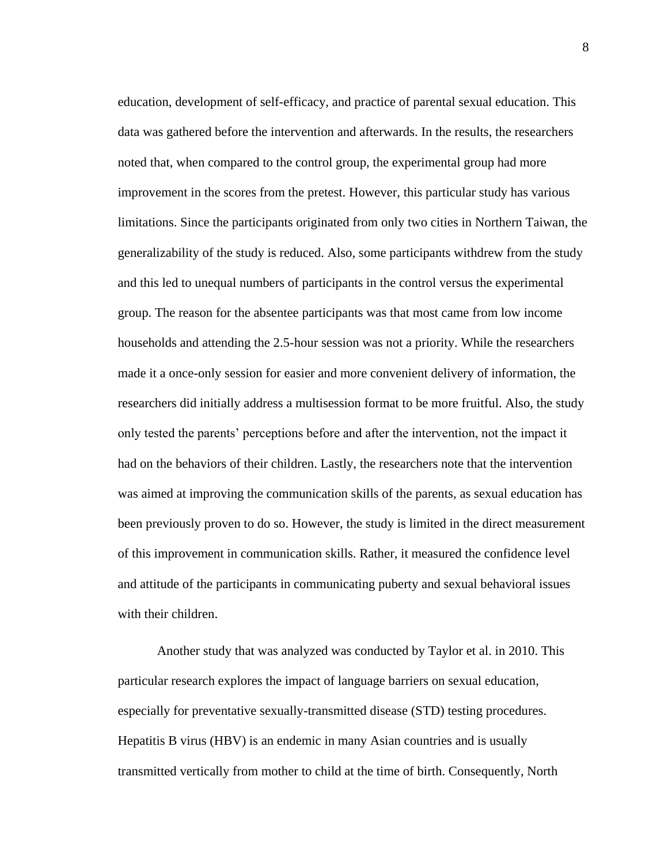education, development of self-efficacy, and practice of parental sexual education. This data was gathered before the intervention and afterwards. In the results, the researchers noted that, when compared to the control group, the experimental group had more improvement in the scores from the pretest. However, this particular study has various limitations. Since the participants originated from only two cities in Northern Taiwan, the generalizability of the study is reduced. Also, some participants withdrew from the study and this led to unequal numbers of participants in the control versus the experimental group. The reason for the absentee participants was that most came from low income households and attending the 2.5-hour session was not a priority. While the researchers made it a once-only session for easier and more convenient delivery of information, the researchers did initially address a multisession format to be more fruitful. Also, the study only tested the parents' perceptions before and after the intervention, not the impact it had on the behaviors of their children. Lastly, the researchers note that the intervention was aimed at improving the communication skills of the parents, as sexual education has been previously proven to do so. However, the study is limited in the direct measurement of this improvement in communication skills. Rather, it measured the confidence level and attitude of the participants in communicating puberty and sexual behavioral issues with their children.

Another study that was analyzed was conducted by Taylor et al. in 2010. This particular research explores the impact of language barriers on sexual education, especially for preventative sexually-transmitted disease (STD) testing procedures. Hepatitis B virus (HBV) is an endemic in many Asian countries and is usually transmitted vertically from mother to child at the time of birth. Consequently, North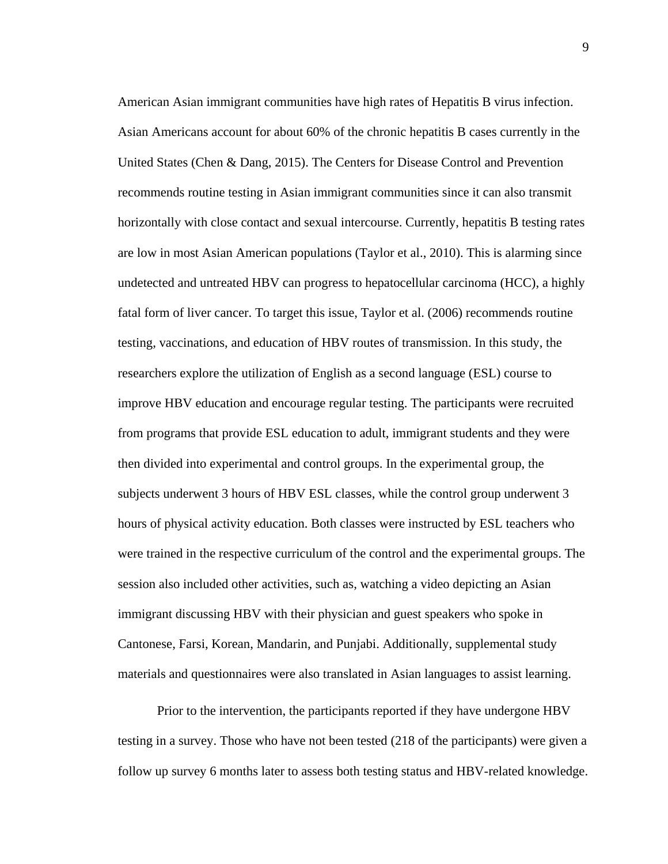American Asian immigrant communities have high rates of Hepatitis B virus infection. Asian Americans account for about 60% of the chronic hepatitis B cases currently in the United States (Chen & Dang, 2015). The Centers for Disease Control and Prevention recommends routine testing in Asian immigrant communities since it can also transmit horizontally with close contact and sexual intercourse. Currently, hepatitis B testing rates are low in most Asian American populations (Taylor et al., 2010). This is alarming since undetected and untreated HBV can progress to hepatocellular carcinoma (HCC), a highly fatal form of liver cancer. To target this issue, Taylor et al. (2006) recommends routine testing, vaccinations, and education of HBV routes of transmission. In this study, the researchers explore the utilization of English as a second language (ESL) course to improve HBV education and encourage regular testing. The participants were recruited from programs that provide ESL education to adult, immigrant students and they were then divided into experimental and control groups. In the experimental group, the subjects underwent 3 hours of HBV ESL classes, while the control group underwent 3 hours of physical activity education. Both classes were instructed by ESL teachers who were trained in the respective curriculum of the control and the experimental groups. The session also included other activities, such as, watching a video depicting an Asian immigrant discussing HBV with their physician and guest speakers who spoke in Cantonese, Farsi, Korean, Mandarin, and Punjabi. Additionally, supplemental study materials and questionnaires were also translated in Asian languages to assist learning.

Prior to the intervention, the participants reported if they have undergone HBV testing in a survey. Those who have not been tested (218 of the participants) were given a follow up survey 6 months later to assess both testing status and HBV-related knowledge.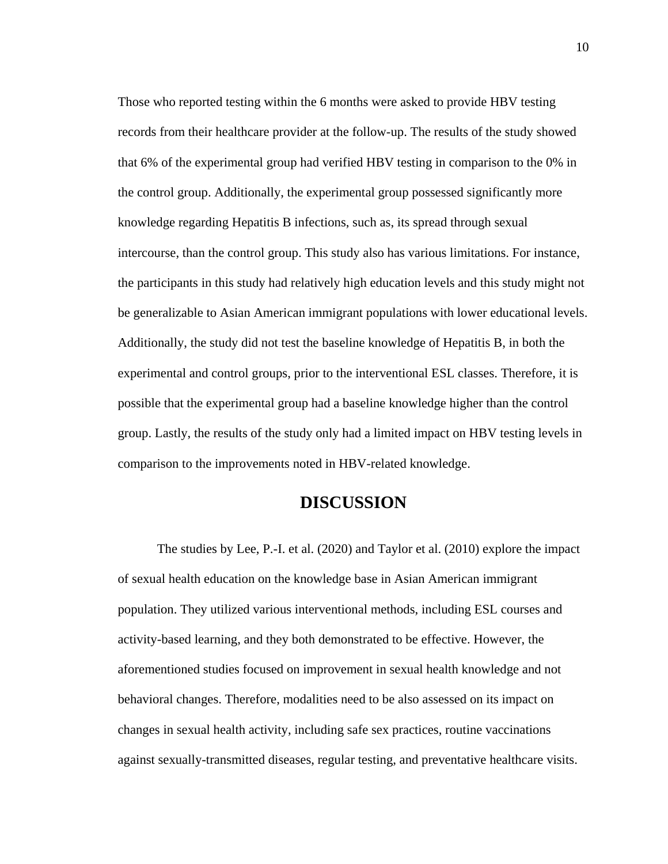Those who reported testing within the 6 months were asked to provide HBV testing records from their healthcare provider at the follow-up. The results of the study showed that 6% of the experimental group had verified HBV testing in comparison to the 0% in the control group. Additionally, the experimental group possessed significantly more knowledge regarding Hepatitis B infections, such as, its spread through sexual intercourse, than the control group. This study also has various limitations. For instance, the participants in this study had relatively high education levels and this study might not be generalizable to Asian American immigrant populations with lower educational levels. Additionally, the study did not test the baseline knowledge of Hepatitis B, in both the experimental and control groups, prior to the interventional ESL classes. Therefore, it is possible that the experimental group had a baseline knowledge higher than the control group. Lastly, the results of the study only had a limited impact on HBV testing levels in comparison to the improvements noted in HBV-related knowledge.

### **DISCUSSION**

The studies by Lee, P.-I. et al. (2020) and Taylor et al. (2010) explore the impact of sexual health education on the knowledge base in Asian American immigrant population. They utilized various interventional methods, including ESL courses and activity-based learning, and they both demonstrated to be effective. However, the aforementioned studies focused on improvement in sexual health knowledge and not behavioral changes. Therefore, modalities need to be also assessed on its impact on changes in sexual health activity, including safe sex practices, routine vaccinations against sexually-transmitted diseases, regular testing, and preventative healthcare visits.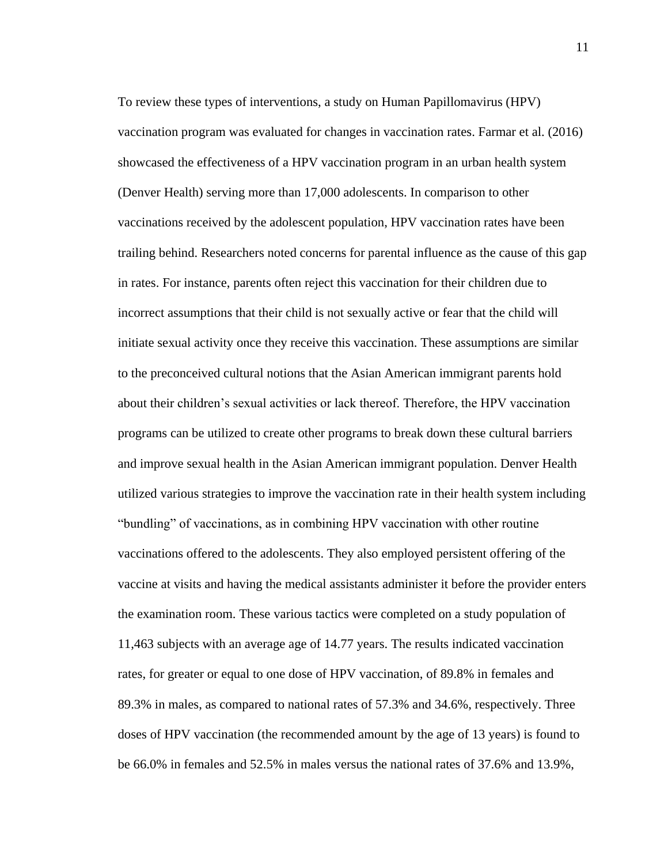To review these types of interventions, a study on Human Papillomavirus (HPV) vaccination program was evaluated for changes in vaccination rates. Farmar et al. (2016) showcased the effectiveness of a HPV vaccination program in an urban health system (Denver Health) serving more than 17,000 adolescents. In comparison to other vaccinations received by the adolescent population, HPV vaccination rates have been trailing behind. Researchers noted concerns for parental influence as the cause of this gap in rates. For instance, parents often reject this vaccination for their children due to incorrect assumptions that their child is not sexually active or fear that the child will initiate sexual activity once they receive this vaccination. These assumptions are similar to the preconceived cultural notions that the Asian American immigrant parents hold about their children's sexual activities or lack thereof. Therefore, the HPV vaccination programs can be utilized to create other programs to break down these cultural barriers and improve sexual health in the Asian American immigrant population. Denver Health utilized various strategies to improve the vaccination rate in their health system including "bundling" of vaccinations, as in combining HPV vaccination with other routine vaccinations offered to the adolescents. They also employed persistent offering of the vaccine at visits and having the medical assistants administer it before the provider enters the examination room. These various tactics were completed on a study population of 11,463 subjects with an average age of 14.77 years. The results indicated vaccination rates, for greater or equal to one dose of HPV vaccination, of 89.8% in females and 89.3% in males, as compared to national rates of 57.3% and 34.6%, respectively. Three doses of HPV vaccination (the recommended amount by the age of 13 years) is found to be 66.0% in females and 52.5% in males versus the national rates of 37.6% and 13.9%,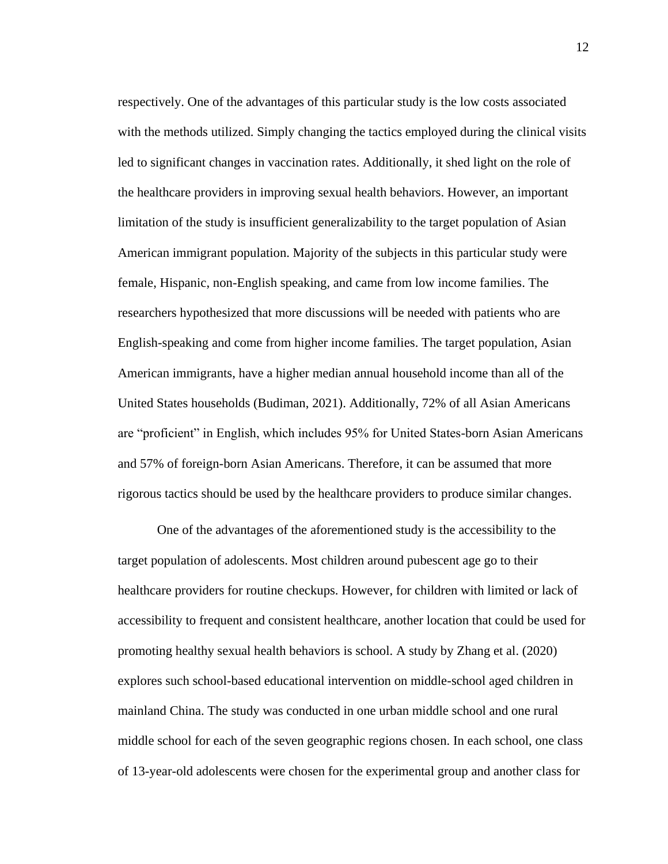respectively. One of the advantages of this particular study is the low costs associated with the methods utilized. Simply changing the tactics employed during the clinical visits led to significant changes in vaccination rates. Additionally, it shed light on the role of the healthcare providers in improving sexual health behaviors. However, an important limitation of the study is insufficient generalizability to the target population of Asian American immigrant population. Majority of the subjects in this particular study were female, Hispanic, non-English speaking, and came from low income families. The researchers hypothesized that more discussions will be needed with patients who are English-speaking and come from higher income families. The target population, Asian American immigrants, have a higher median annual household income than all of the United States households (Budiman, 2021). Additionally, 72% of all Asian Americans are "proficient" in English, which includes 95% for United States-born Asian Americans and 57% of foreign-born Asian Americans. Therefore, it can be assumed that more rigorous tactics should be used by the healthcare providers to produce similar changes.

One of the advantages of the aforementioned study is the accessibility to the target population of adolescents. Most children around pubescent age go to their healthcare providers for routine checkups. However, for children with limited or lack of accessibility to frequent and consistent healthcare, another location that could be used for promoting healthy sexual health behaviors is school. A study by Zhang et al. (2020) explores such school-based educational intervention on middle-school aged children in mainland China. The study was conducted in one urban middle school and one rural middle school for each of the seven geographic regions chosen. In each school, one class of 13-year-old adolescents were chosen for the experimental group and another class for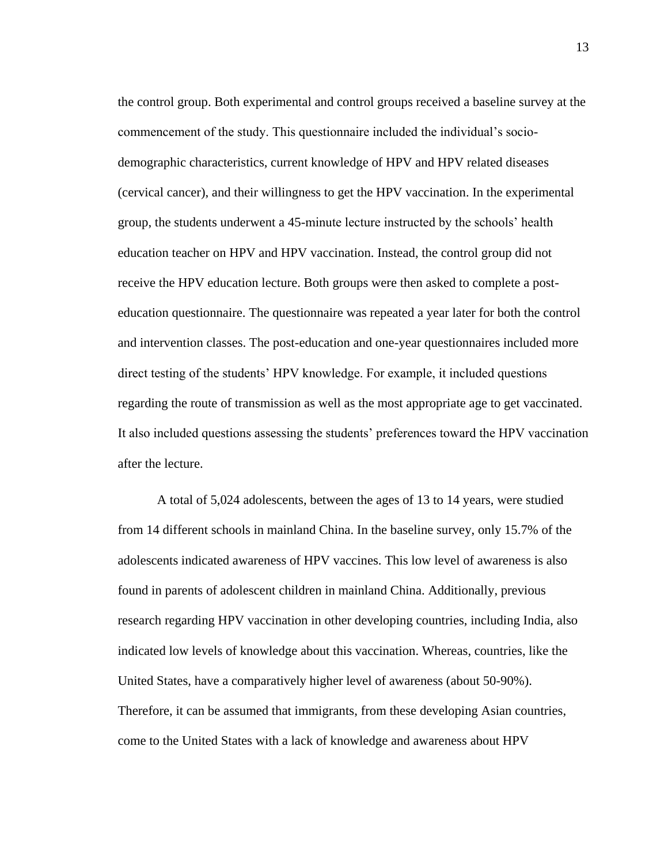the control group. Both experimental and control groups received a baseline survey at the commencement of the study. This questionnaire included the individual's sociodemographic characteristics, current knowledge of HPV and HPV related diseases (cervical cancer), and their willingness to get the HPV vaccination. In the experimental group, the students underwent a 45-minute lecture instructed by the schools' health education teacher on HPV and HPV vaccination. Instead, the control group did not receive the HPV education lecture. Both groups were then asked to complete a posteducation questionnaire. The questionnaire was repeated a year later for both the control and intervention classes. The post-education and one-year questionnaires included more direct testing of the students' HPV knowledge. For example, it included questions regarding the route of transmission as well as the most appropriate age to get vaccinated. It also included questions assessing the students' preferences toward the HPV vaccination after the lecture.

A total of 5,024 adolescents, between the ages of 13 to 14 years, were studied from 14 different schools in mainland China. In the baseline survey, only 15.7% of the adolescents indicated awareness of HPV vaccines. This low level of awareness is also found in parents of adolescent children in mainland China. Additionally, previous research regarding HPV vaccination in other developing countries, including India, also indicated low levels of knowledge about this vaccination. Whereas, countries, like the United States, have a comparatively higher level of awareness (about 50-90%). Therefore, it can be assumed that immigrants, from these developing Asian countries, come to the United States with a lack of knowledge and awareness about HPV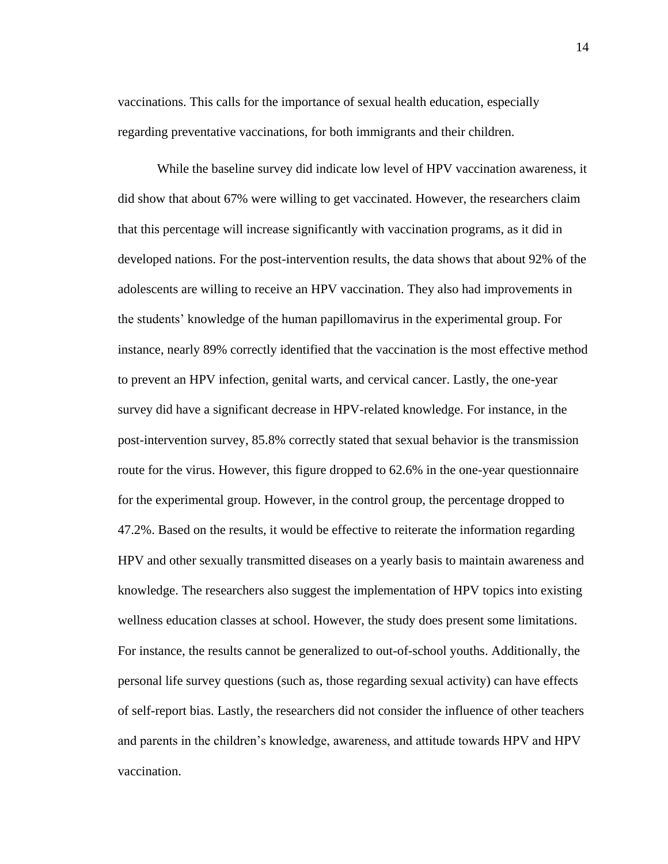vaccinations. This calls for the importance of sexual health education, especially regarding preventative vaccinations, for both immigrants and their children.

While the baseline survey did indicate low level of HPV vaccination awareness, it did show that about 67% were willing to get vaccinated. However, the researchers claim that this percentage will increase significantly with vaccination programs, as it did in developed nations. For the post-intervention results, the data shows that about 92% of the adolescents are willing to receive an HPV vaccination. They also had improvements in the students' knowledge of the human papillomavirus in the experimental group. For instance, nearly 89% correctly identified that the vaccination is the most effective method to prevent an HPV infection, genital warts, and cervical cancer. Lastly, the one-year survey did have a significant decrease in HPV-related knowledge. For instance, in the post-intervention survey, 85.8% correctly stated that sexual behavior is the transmission route for the virus. However, this figure dropped to 62.6% in the one-year questionnaire for the experimental group. However, in the control group, the percentage dropped to 47.2%. Based on the results, it would be effective to reiterate the information regarding HPV and other sexually transmitted diseases on a yearly basis to maintain awareness and knowledge. The researchers also suggest the implementation of HPV topics into existing wellness education classes at school. However, the study does present some limitations. For instance, the results cannot be generalized to out-of-school youths. Additionally, the personal life survey questions (such as, those regarding sexual activity) can have effects of self-report bias. Lastly, the researchers did not consider the influence of other teachers and parents in the children's knowledge, awareness, and attitude towards HPV and HPV vaccination.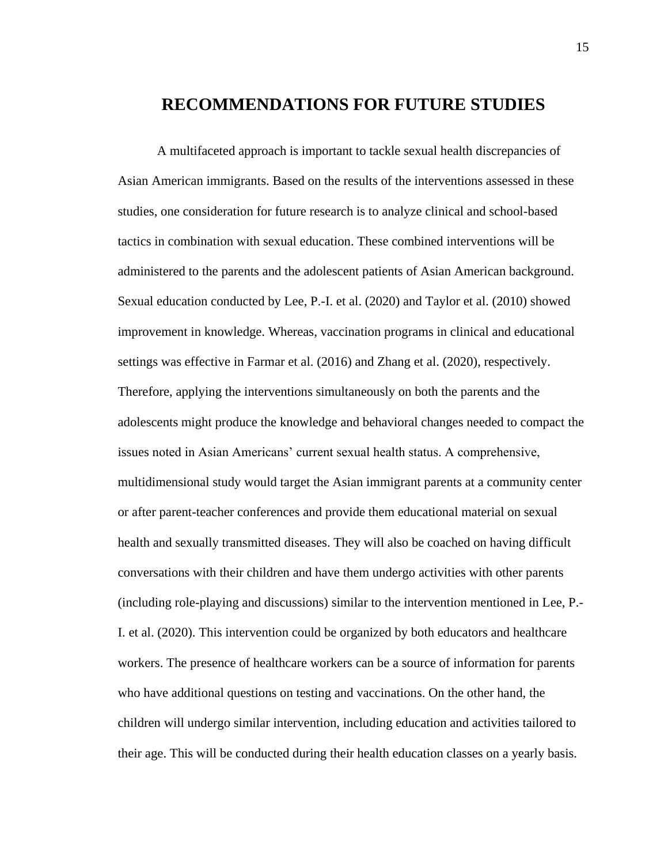# **RECOMMENDATIONS FOR FUTURE STUDIES**

A multifaceted approach is important to tackle sexual health discrepancies of Asian American immigrants. Based on the results of the interventions assessed in these studies, one consideration for future research is to analyze clinical and school-based tactics in combination with sexual education. These combined interventions will be administered to the parents and the adolescent patients of Asian American background. Sexual education conducted by Lee, P.-I. et al. (2020) and Taylor et al. (2010) showed improvement in knowledge. Whereas, vaccination programs in clinical and educational settings was effective in Farmar et al. (2016) and Zhang et al. (2020), respectively. Therefore, applying the interventions simultaneously on both the parents and the adolescents might produce the knowledge and behavioral changes needed to compact the issues noted in Asian Americans' current sexual health status. A comprehensive, multidimensional study would target the Asian immigrant parents at a community center or after parent-teacher conferences and provide them educational material on sexual health and sexually transmitted diseases. They will also be coached on having difficult conversations with their children and have them undergo activities with other parents (including role-playing and discussions) similar to the intervention mentioned in Lee, P.- I. et al. (2020). This intervention could be organized by both educators and healthcare workers. The presence of healthcare workers can be a source of information for parents who have additional questions on testing and vaccinations. On the other hand, the children will undergo similar intervention, including education and activities tailored to their age. This will be conducted during their health education classes on a yearly basis.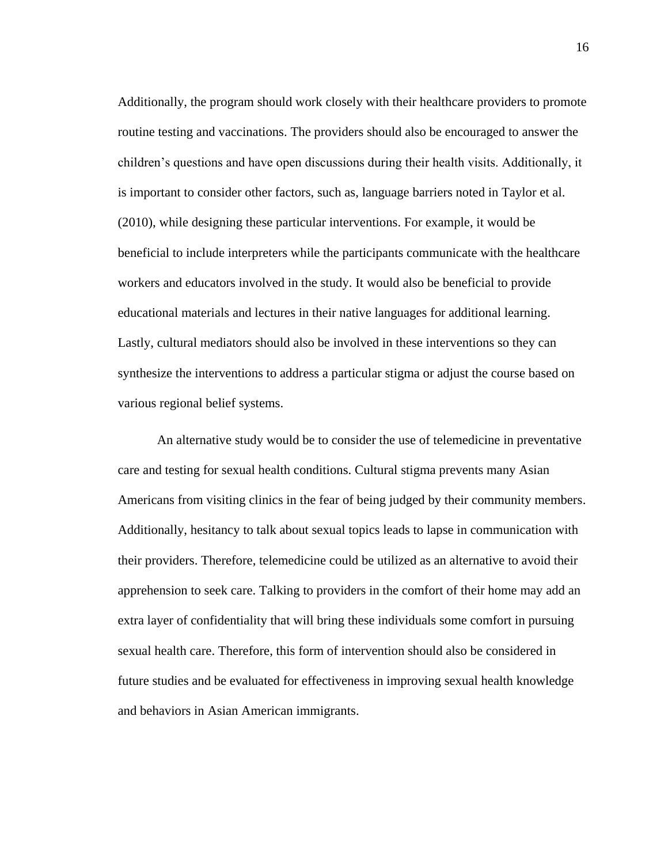Additionally, the program should work closely with their healthcare providers to promote routine testing and vaccinations. The providers should also be encouraged to answer the children's questions and have open discussions during their health visits. Additionally, it is important to consider other factors, such as, language barriers noted in Taylor et al. (2010), while designing these particular interventions. For example, it would be beneficial to include interpreters while the participants communicate with the healthcare workers and educators involved in the study. It would also be beneficial to provide educational materials and lectures in their native languages for additional learning. Lastly, cultural mediators should also be involved in these interventions so they can synthesize the interventions to address a particular stigma or adjust the course based on various regional belief systems.

An alternative study would be to consider the use of telemedicine in preventative care and testing for sexual health conditions. Cultural stigma prevents many Asian Americans from visiting clinics in the fear of being judged by their community members. Additionally, hesitancy to talk about sexual topics leads to lapse in communication with their providers. Therefore, telemedicine could be utilized as an alternative to avoid their apprehension to seek care. Talking to providers in the comfort of their home may add an extra layer of confidentiality that will bring these individuals some comfort in pursuing sexual health care. Therefore, this form of intervention should also be considered in future studies and be evaluated for effectiveness in improving sexual health knowledge and behaviors in Asian American immigrants.

16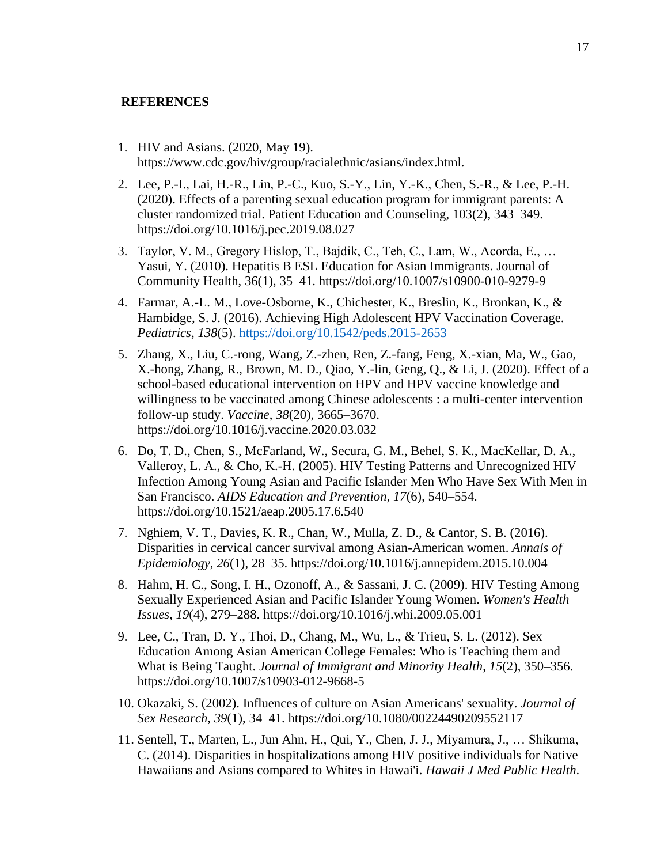#### **REFERENCES**

- 1. HIV and Asians. (2020, May 19). https://www.cdc.gov/hiv/group/racialethnic/asians/index.html.
- 2. Lee, P.-I., Lai, H.-R., Lin, P.-C., Kuo, S.-Y., Lin, Y.-K., Chen, S.-R., & Lee, P.-H. (2020). Effects of a parenting sexual education program for immigrant parents: A cluster randomized trial. Patient Education and Counseling, 103(2), 343–349. https://doi.org/10.1016/j.pec.2019.08.027
- 3. Taylor, V. M., Gregory Hislop, T., Bajdik, C., Teh, C., Lam, W., Acorda, E., … Yasui, Y. (2010). Hepatitis B ESL Education for Asian Immigrants. Journal of Community Health, 36(1), 35–41. https://doi.org/10.1007/s10900-010-9279-9
- 4. Farmar, A.-L. M., Love-Osborne, K., Chichester, K., Breslin, K., Bronkan, K., & Hambidge, S. J. (2016). Achieving High Adolescent HPV Vaccination Coverage. *Pediatrics*, *138*(5).<https://doi.org/10.1542/peds.2015-2653>
- 5. Zhang, X., Liu, C.-rong, Wang, Z.-zhen, Ren, Z.-fang, Feng, X.-xian, Ma, W., Gao, X.-hong, Zhang, R., Brown, M. D., Qiao, Y.-lin, Geng, Q., & Li, J. (2020). Effect of a school-based educational intervention on HPV and HPV vaccine knowledge and willingness to be vaccinated among Chinese adolescents : a multi-center intervention follow-up study. *Vaccine*, *38*(20), 3665–3670. https://doi.org/10.1016/j.vaccine.2020.03.032
- 6. Do, T. D., Chen, S., McFarland, W., Secura, G. M., Behel, S. K., MacKellar, D. A., Valleroy, L. A., & Cho, K.-H. (2005). HIV Testing Patterns and Unrecognized HIV Infection Among Young Asian and Pacific Islander Men Who Have Sex With Men in San Francisco. *AIDS Education and Prevention*, *17*(6), 540–554. https://doi.org/10.1521/aeap.2005.17.6.540
- 7. Nghiem, V. T., Davies, K. R., Chan, W., Mulla, Z. D., & Cantor, S. B. (2016). Disparities in cervical cancer survival among Asian-American women. *Annals of Epidemiology*, *26*(1), 28–35. https://doi.org/10.1016/j.annepidem.2015.10.004
- 8. Hahm, H. C., Song, I. H., Ozonoff, A., & Sassani, J. C. (2009). HIV Testing Among Sexually Experienced Asian and Pacific Islander Young Women. *Women's Health Issues*, *19*(4), 279–288. https://doi.org/10.1016/j.whi.2009.05.001
- 9. Lee, C., Tran, D. Y., Thoi, D., Chang, M., Wu, L., & Trieu, S. L. (2012). Sex Education Among Asian American College Females: Who is Teaching them and What is Being Taught. *Journal of Immigrant and Minority Health*, *15*(2), 350–356. https://doi.org/10.1007/s10903-012-9668-5
- 10. Okazaki, S. (2002). Influences of culture on Asian Americans' sexuality. *Journal of Sex Research*, *39*(1), 34–41. https://doi.org/10.1080/00224490209552117
- 11. Sentell, T., Marten, L., Jun Ahn, H., Qui, Y., Chen, J. J., Miyamura, J., … Shikuma, C. (2014). Disparities in hospitalizations among HIV positive individuals for Native Hawaiians and Asians compared to Whites in Hawai'i. *Hawaii J Med Public Health*.